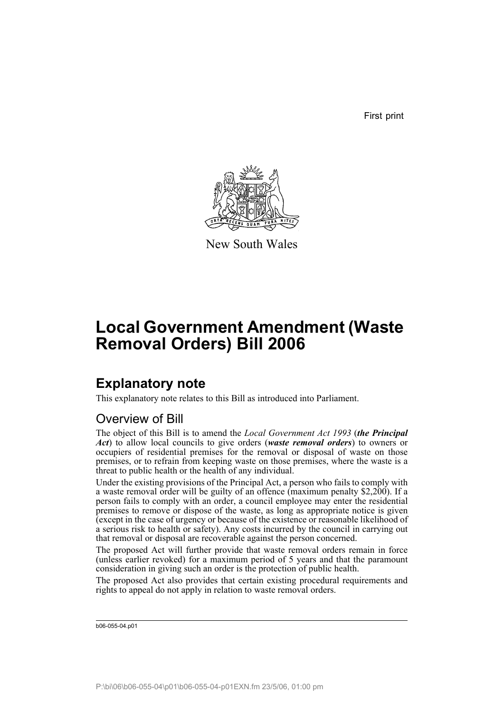First print



New South Wales

# **Local Government Amendment (Waste Removal Orders) Bill 2006**

### **Explanatory note**

This explanatory note relates to this Bill as introduced into Parliament.

### Overview of Bill

The object of this Bill is to amend the *Local Government Act 1993* (*the Principal Act*) to allow local councils to give orders (*waste removal orders*) to owners or occupiers of residential premises for the removal or disposal of waste on those premises, or to refrain from keeping waste on those premises, where the waste is a threat to public health or the health of any individual.

Under the existing provisions of the Principal Act, a person who fails to comply with a waste removal order will be guilty of an offence (maximum penalty \$2,200). If a person fails to comply with an order, a council employee may enter the residential premises to remove or dispose of the waste, as long as appropriate notice is given (except in the case of urgency or because of the existence or reasonable likelihood of a serious risk to health or safety). Any costs incurred by the council in carrying out that removal or disposal are recoverable against the person concerned.

The proposed Act will further provide that waste removal orders remain in force (unless earlier revoked) for a maximum period of 5 years and that the paramount consideration in giving such an order is the protection of public health.

The proposed Act also provides that certain existing procedural requirements and rights to appeal do not apply in relation to waste removal orders.

```
b06-055-04.p01
```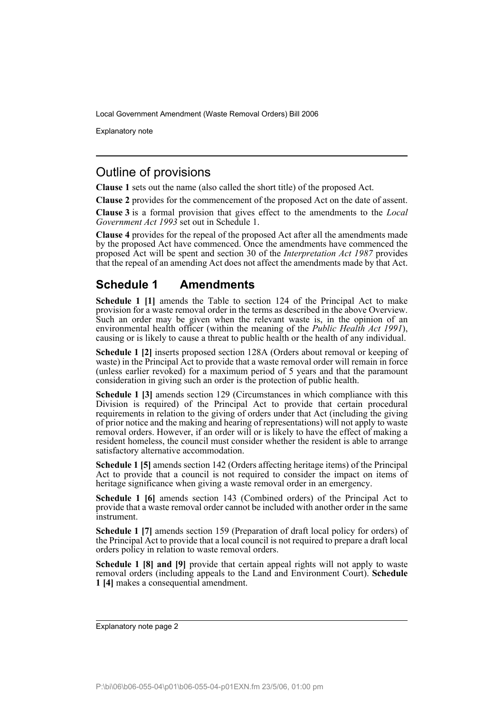Explanatory note

#### Outline of provisions

**Clause 1** sets out the name (also called the short title) of the proposed Act.

**Clause 2** provides for the commencement of the proposed Act on the date of assent.

**Clause 3** is a formal provision that gives effect to the amendments to the *Local Government Act 1993* set out in Schedule 1.

**Clause 4** provides for the repeal of the proposed Act after all the amendments made by the proposed Act have commenced. Once the amendments have commenced the proposed Act will be spent and section 30 of the *Interpretation Act 1987* provides that the repeal of an amending Act does not affect the amendments made by that Act.

#### **Schedule 1 Amendments**

**Schedule 1 [1]** amends the Table to section 124 of the Principal Act to make provision for a waste removal order in the terms as described in the above Overview. Such an order may be given when the relevant waste is, in the opinion of an environmental health officer (within the meaning of the *Public Health Act 1991*), causing or is likely to cause a threat to public health or the health of any individual.

**Schedule 1 [2]** inserts proposed section 128A (Orders about removal or keeping of waste) in the Principal Act to provide that a waste removal order will remain in force (unless earlier revoked) for a maximum period of 5 years and that the paramount consideration in giving such an order is the protection of public health.

**Schedule 1 [3]** amends section 129 (Circumstances in which compliance with this Division is required) of the Principal Act to provide that certain procedural requirements in relation to the giving of orders under that Act (including the giving of prior notice and the making and hearing of representations) will not apply to waste removal orders. However, if an order will or is likely to have the effect of making a resident homeless, the council must consider whether the resident is able to arrange satisfactory alternative accommodation.

**Schedule 1 [5]** amends section 142 (Orders affecting heritage items) of the Principal Act to provide that a council is not required to consider the impact on items of heritage significance when giving a waste removal order in an emergency.

**Schedule 1 [6]** amends section 143 (Combined orders) of the Principal Act to provide that a waste removal order cannot be included with another order in the same instrument.

**Schedule 1 [7]** amends section 159 (Preparation of draft local policy for orders) of the Principal Act to provide that a local council is not required to prepare a draft local orders policy in relation to waste removal orders.

**Schedule 1 [8] and [9]** provide that certain appeal rights will not apply to waste removal orders (including appeals to the Land and Environment Court). **Schedule 1 [4]** makes a consequential amendment.

Explanatory note page 2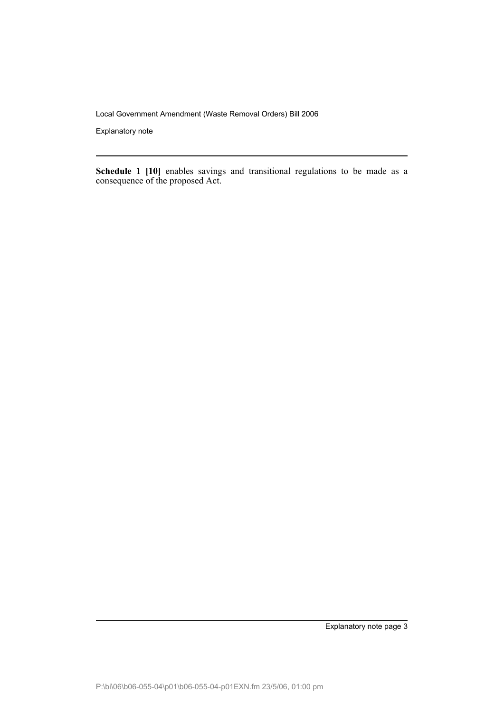Explanatory note

**Schedule 1 [10]** enables savings and transitional regulations to be made as a consequence of the proposed Act.

Explanatory note page 3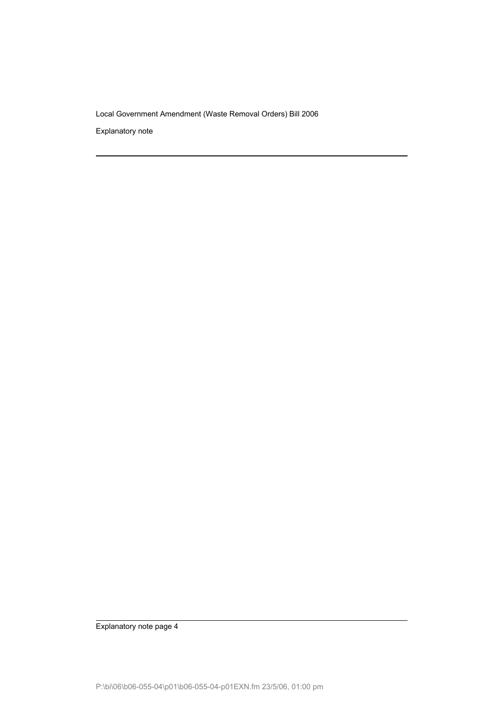Explanatory note

Explanatory note page 4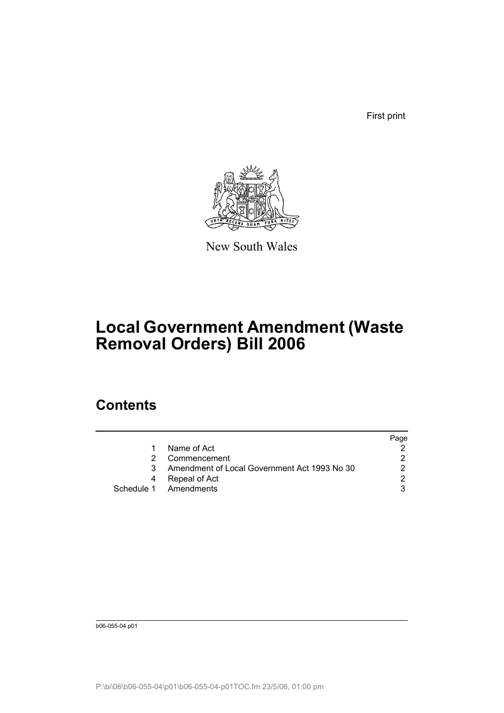First print



New South Wales

## **Local Government Amendment (Waste Removal Orders) Bill 2006**

### **Contents**

|                                              | Page          |
|----------------------------------------------|---------------|
| Name of Act                                  |               |
| Commencement                                 |               |
| Amendment of Local Government Act 1993 No 30 | $\mathcal{D}$ |
| Repeal of Act                                | 2             |
| Schedule 1 Amendments                        | 3             |
|                                              |               |

b06-055-04.p01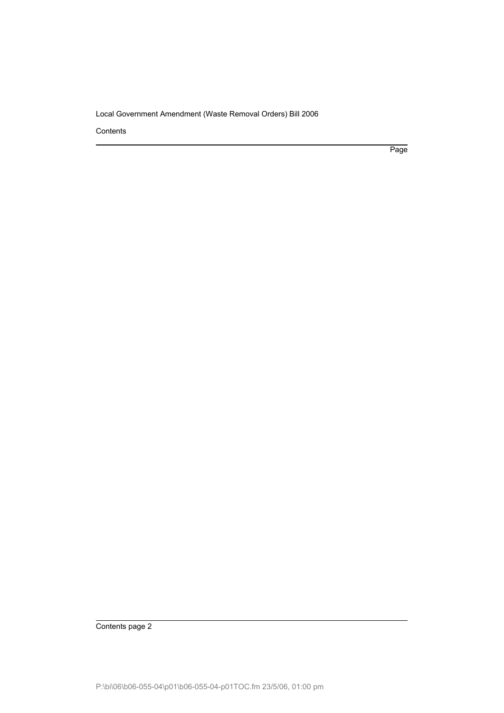Contents

Page

Contents page 2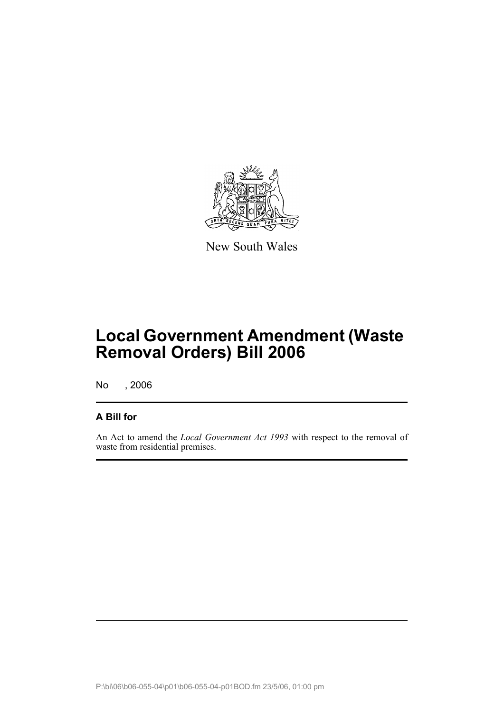

New South Wales

# **Local Government Amendment (Waste Removal Orders) Bill 2006**

No , 2006

#### **A Bill for**

An Act to amend the *Local Government Act 1993* with respect to the removal of waste from residential premises.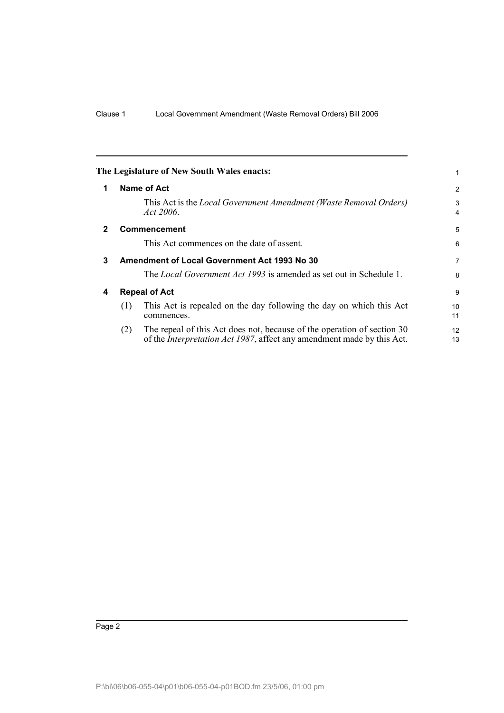<span id="page-7-3"></span><span id="page-7-2"></span><span id="page-7-1"></span><span id="page-7-0"></span>

|              |     | The Legislature of New South Wales enacts:                                                                                                                | 1                   |
|--------------|-----|-----------------------------------------------------------------------------------------------------------------------------------------------------------|---------------------|
| 1            |     | Name of Act                                                                                                                                               | 2                   |
|              |     | This Act is the <i>Local Government Amendment (Waste Removal Orders)</i><br>Act 2006.                                                                     | 3<br>$\overline{4}$ |
| $\mathbf{2}$ |     | <b>Commencement</b>                                                                                                                                       | 5                   |
|              |     | This Act commences on the date of assent.                                                                                                                 | 6                   |
| 3            |     | <b>Amendment of Local Government Act 1993 No 30</b>                                                                                                       | $\overline{7}$      |
|              |     | The <i>Local Government Act 1993</i> is amended as set out in Schedule 1.                                                                                 | 8                   |
| 4            |     | <b>Repeal of Act</b>                                                                                                                                      | 9                   |
|              | (1) | This Act is repealed on the day following the day on which this Act<br>commences.                                                                         | 10<br>11            |
|              | (2) | The repeal of this Act does not, because of the operation of section 30<br>of the <i>Interpretation Act 1987</i> , affect any amendment made by this Act. | 12<br>13            |
|              |     |                                                                                                                                                           |                     |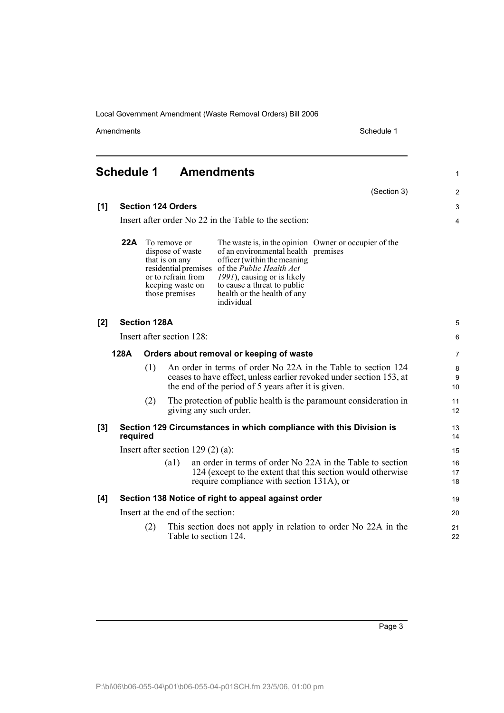Amendments Schedule 1

<span id="page-8-0"></span>

| Schedule 1<br><b>Amendments</b> |                                                                               |     |                                                                                                                | $\mathbf{1}$ |                                                                                                                                                                                                                                                                                         |                                                                                                                                      |                |
|---------------------------------|-------------------------------------------------------------------------------|-----|----------------------------------------------------------------------------------------------------------------|--------------|-----------------------------------------------------------------------------------------------------------------------------------------------------------------------------------------------------------------------------------------------------------------------------------------|--------------------------------------------------------------------------------------------------------------------------------------|----------------|
|                                 |                                                                               |     |                                                                                                                |              |                                                                                                                                                                                                                                                                                         | (Section 3)                                                                                                                          | 2              |
| [1]                             |                                                                               |     | <b>Section 124 Orders</b>                                                                                      |              |                                                                                                                                                                                                                                                                                         |                                                                                                                                      | 3              |
|                                 | Insert after order No 22 in the Table to the section:                         |     |                                                                                                                |              |                                                                                                                                                                                                                                                                                         |                                                                                                                                      | 4              |
|                                 | 22A                                                                           |     | To remove or<br>dispose of waste<br>that is on any<br>or to refrain from<br>keeping waste on<br>those premises |              | The waste is, in the opinion Owner or occupier of the<br>of an environmental health premises<br>officer (within the meaning<br>residential premises of the Public Health Act<br>1991), causing or is likely<br>to cause a threat to public<br>health or the health of any<br>individual |                                                                                                                                      |                |
| [2]                             | <b>Section 128A</b>                                                           |     |                                                                                                                |              |                                                                                                                                                                                                                                                                                         |                                                                                                                                      | 5              |
|                                 | Insert after section 128:<br>128A<br>Orders about removal or keeping of waste |     |                                                                                                                |              |                                                                                                                                                                                                                                                                                         | 6                                                                                                                                    |                |
|                                 |                                                                               |     |                                                                                                                |              |                                                                                                                                                                                                                                                                                         | $\overline{7}$                                                                                                                       |                |
|                                 |                                                                               | (1) |                                                                                                                |              | the end of the period of 5 years after it is given.                                                                                                                                                                                                                                     | An order in terms of order No 22A in the Table to section 124<br>ceases to have effect, unless earlier revoked under section 153, at | 8<br>9<br>10   |
|                                 |                                                                               | (2) |                                                                                                                |              | giving any such order.                                                                                                                                                                                                                                                                  | The protection of public health is the paramount consideration in                                                                    | 11<br>12       |
| [3]                             | required                                                                      |     |                                                                                                                |              | Section 129 Circumstances in which compliance with this Division is                                                                                                                                                                                                                     |                                                                                                                                      | 13<br>14       |
|                                 |                                                                               |     | Insert after section 129 $(2)$ $(a)$ :                                                                         |              |                                                                                                                                                                                                                                                                                         |                                                                                                                                      | 15             |
|                                 |                                                                               |     | (a1)                                                                                                           |              | require compliance with section 131A), or                                                                                                                                                                                                                                               | an order in terms of order No 22A in the Table to section<br>124 (except to the extent that this section would otherwise             | 16<br>17<br>18 |
| [4]                             |                                                                               |     |                                                                                                                |              | Section 138 Notice of right to appeal against order                                                                                                                                                                                                                                     |                                                                                                                                      | 19             |
|                                 | Insert at the end of the section:                                             |     |                                                                                                                |              |                                                                                                                                                                                                                                                                                         | 20                                                                                                                                   |                |
|                                 |                                                                               | (2) |                                                                                                                |              | Table to section 124.                                                                                                                                                                                                                                                                   | This section does not apply in relation to order No 22A in the                                                                       | 21<br>22       |